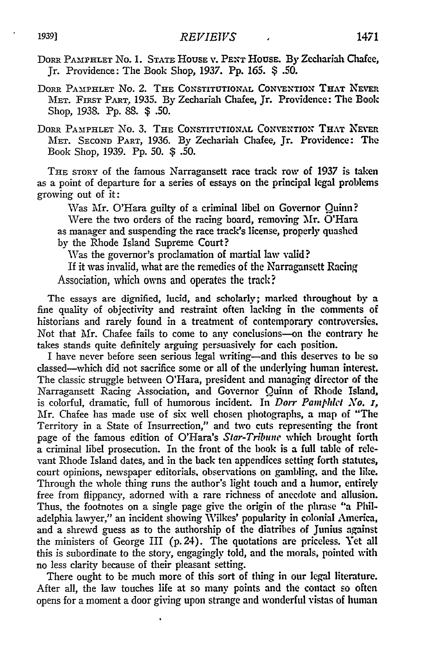DoRR PAMPHLET No. 1. **STATE** HOUSE **1. PENT** HOUSE. By Zechariah Chafee, Jr. Providence: The Book Shop, 1937. Pp. *165. \$* .50.

DORR PAMPHLET NO. 2. THE CONSTITUTIONAL CONVENTION THAT NEVER MET. **FIRST** PART, **1935.** By Zechariah Chafee, Jr. Providence: The Book Shop, 1938. Pp. 88. *\$* .50.

DORR PAMPHLET NO. 3. THE CONSTITUTIONAL CONVENTION THAT NEVER MET. SECOND PART, 1936. By Zechariah Chafee, Jr. Providence: The Book Shop, 1939. **Pp.** 50. *\$* .50.

THE STORY of the famous Narragansett race track row of 1937 is taken as a point of departure for a series of essays on the principal legal problems growing out of it:

Was Mr. O'Hara guilty of a criminal libel on Governor Quinn? Were the two orders of the racing board, removing Mr. O'Hara as manager and suspending the race track's license, properly quashed by the Rhode Island Supreme Court?

Was the governor's proclamation of martial law valid?

If it was invalid, what are the remedies of **the** Narragansett Racing Association, which owns and operates the track?

The essays are dignified, lucid, and scholarly; marked throughout by a fine quality of objectivity and restraint often lacking in the comments of historians and rarely found in a treatment of contemporary controversies. Not that Mr. Chafee fails to come to any conclusions-on the contrary he takes stands quite definitely arguing persuasively for each position.

I have never before seen serious legal writing-and this deserves to be so classed-which did not sacrifice some or all of the underlying human interest. The classic struggle between O'Hara, president and managing director of the Narragansett Racing Association, and Governor Quinn of Rhode Island, is colorful, dramatic, full of humorous incident. In *Dorr Pamphlet No. T,* Mr. Chafee has made use of six well chosen photographs, a map of "The Territory in a State of Insurrection," and two cuts representing the front page of the famous edition of O'Hara's *Star-Tribune* which brought forth a criminal libel prosecution. In the front of the book is a full table of relevant Rhode Island dates, and in the back ten appendices setting forth statutes, court opinions, newspaper editorials, observations on gambling, and the like. Through the whole thing runs the author's light touch and a humor, entirely free from flippancy, adorned with a rare richness of anecdote and allusion. Thus, the footnotes on a single page give the origin of the phrase "a Philadelphia lawyer," an incident showing Wilkes' popularity in colonial America, and a shrewd guess as to the authorship of the diatribes of Junius against the ministers of George III (p. 24). The quotations are priceless. Yet all this is subordinate to the story, engagingly told, and the morals, pointed with no less clarity because of their pleasant setting.

There ought to be much more of this sort of thing in our legal literature. After all, the law touches life at so many points and the contact so often opens for a moment a door giving upon strange and wonderful vistas of human